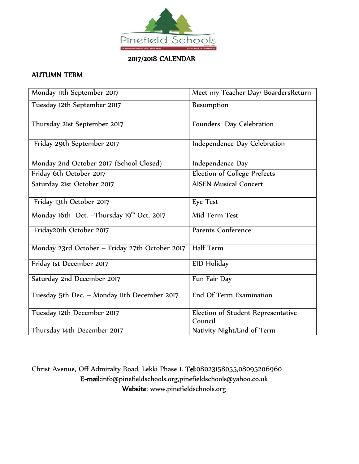

2017/2018 CALENDAR

## AUTUMN TERM

| Monday 11th September 2017                             | Meet my Teacher Day/ BoardersReturn           |
|--------------------------------------------------------|-----------------------------------------------|
| Tuesday 12th September 2017                            | Resumption                                    |
| Thursday 21st September 2017                           | Founders Day Celebration                      |
| Friday 29th September 2017                             | Independence Day Celebration                  |
| Monday 2nd October 2017 (School Closed)                | Independence Day                              |
| Friday 6th October 2017                                | <b>Election of College Prefects</b>           |
| Saturday 21st October 2017                             | <b>AISEN Musical Concert</b>                  |
| Friday 13th October 2017                               | <b>Eye Test</b>                               |
| Monday 16th Oct. - Thursday 19 <sup>th</sup> Oct. 2017 | Mid Term Test                                 |
| Friday20th October 2017                                | Parents Conference                            |
| Monday 23rd October - Friday 27th October 2017         | Half Term                                     |
| Friday 1st December 2017                               | EID Holiday                                   |
| Saturday 2nd December 2017                             | Fun Fair Day                                  |
| Tuesday 5th Dec. - Monday 11th December 2017           | End Of Term Examination                       |
| Tuesday 12th December 2017                             | Election of Student Representative<br>Council |
| Thursday 14th December 2017                            | Nativity Night/End of Term                    |

Christ Avenue, Off Admiralty Road, Lekki Phase 1. Tel:08023158055,08095206960 E-mail:info@pinefieldschools.org,pinefieldschools@yahoo.co.uk Website: www.pinefieldschools.org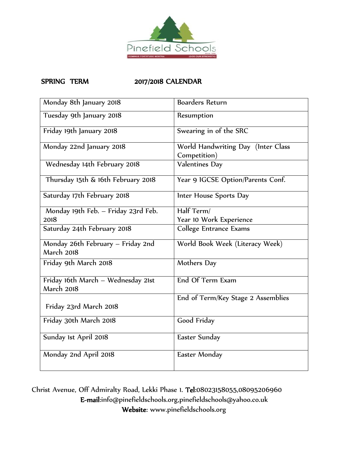

## SPRING TERM 2017/2018 CALENDAR

| Monday 8th January 2018                                 | <b>Boarders Return</b>                             |
|---------------------------------------------------------|----------------------------------------------------|
| Tuesday 9th January 2018                                | Resumption                                         |
| Friday 19th January 2018                                | Swearing in of the SRC                             |
| Monday 22nd January 2018                                | World Handwriting Day (Inter Class<br>Competition) |
| Wednesday 14th February 2018                            | <b>Valentines Day</b>                              |
| Thursday 15th & 16th February 2018                      | Year 9 IGCSE Option/Parents Conf.                  |
| Saturday 17th February 2018                             | Inter House Sports Day                             |
| Monday 19th Feb. - Friday 23rd Feb.                     | Half Term/                                         |
| 2018                                                    | Year 10 Work Experience                            |
| Saturday 24th February 2018                             | College Entrance Exams                             |
| Monday 26th February - Friday 2nd<br><b>March 2018</b>  | World Book Week (Literacy Week)                    |
| Friday 9th March 2018                                   | Mothers Day                                        |
| Friday 16th March - Wednesday 21st<br><b>March 2018</b> | End Of Term Exam                                   |
| Friday 23rd March 2018                                  | End of Term/Key Stage 2 Assemblies                 |
| Friday 30th March 2018                                  | Good Friday                                        |
| Sunday 1st April 2018                                   | Easter Sunday                                      |
| Monday 2nd April 2018                                   | Easter Monday                                      |

Christ Avenue, Off Admiralty Road, Lekki Phase 1. Tel:08023158055,08095206960 E-mail:info@pinefieldschools.org,pinefieldschools@yahoo.co.uk Website: www.pinefieldschools.org